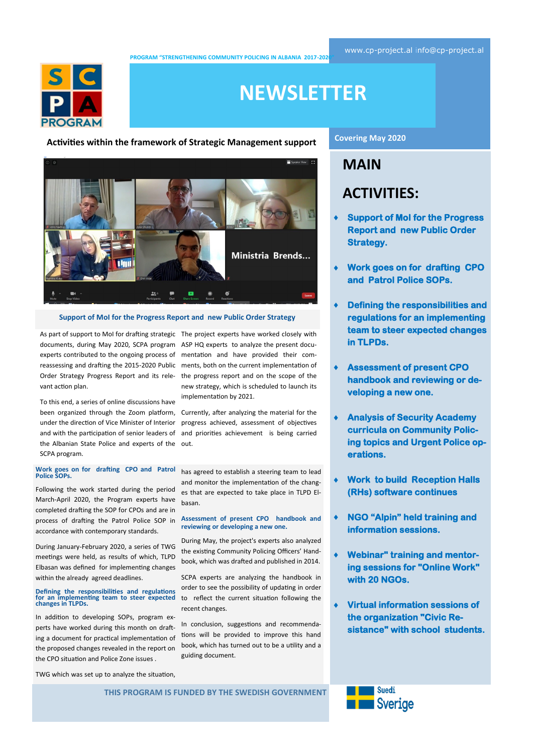[www.cp-project.al](http://www.cp-project.al) [info@cp-project.al](mailto:info@cp-project.al)

**PROGRAM "STRENGTHENING COMMUNITY POLICING IN ALBANIA 2017-2020"** 



# **NEWSLETTER**

**Activities within the framework of Strategic Management support**



#### **Support of MoI for the Progress Report and new Public Order Strategy**

As part of support to MoI for drafting strategic The project experts have worked closely with documents, during May 2020, SCPA program ASP HQ experts to analyze the present docuexperts contributed to the ongoing process of mentation and have provided their comvant action plan.

To this end, a series of online discussions have been organized through the Zoom platform, Currently, after analyzing the material for the under the direction of Vice Minister of Interior and with the participation of senior leaders of and priorities achievement is being carried the Albanian State Police and experts of the out. SCPA program.

**Work goes on for drafting CPO and Patrol Police SOPs.**

Following the work started during the period March-April 2020, the Program experts have completed drafting the SOP for CPOs and are in process of drafting the Patrol Police SOP in accordance with contemporary standards.

During January-February 2020, a series of TWG meetings were held, as results of which, TLPD Elbasan was defined for implementing changes within the already agreed deadlines.

# **Defining the responsibilities and regulations for an implementing team to steer expected changes in TLPDs.**

In addition to developing SOPs, program experts have worked during this month on drafting a document for practical implementation of the proposed changes revealed in the report on the CPO situation and Police Zone issues .

reassessing and drafting the 2015-2020 Public ments, both on the current implementation of Order Strategy Progress Report and its rele- the progress report and on the scope of the new strategy, which is scheduled to launch its implementation by 2021.

progress achieved, assessment of objectives

has agreed to establish a steering team to lead and monitor the implementation of the changes that are expected to take place in TLPD Elbasan.

#### **Assessment of present CPO handbook and reviewing or developing a new one.**

During May, the project's experts also analyzed the existing Community Policing Officers' Handbook, which was drafted and published in 2014.

SCPA experts are analyzing the handbook in order to see the possibility of updating in order to reflect the current situation following the recent changes.

In conclusion, suggestions and recommendations will be provided to improve this hand book, which has turned out to be a utility and a guiding document.

### **Covering May 2020**

# **MAIN ACTIVITIES:**

- **Support of MoI for the Progress Report and new Public Order Strategy.**
- **Work goes on for drafting CPO and Patrol Police SOPs.**
- **Defining the responsibilities and regulations for an implementing team to steer expected changes in TLPDs.**
- **Assessment of present CPO handbook and reviewing or developing a new one.**
- **Analysis of Security Academy curricula on Community Policing topics and Urgent Police operations.**
- **Work to build Reception Halls (RHs) software continues**
- **NGO "Alpin" held training and information sessions.**
- **Webinar" training and mentoring sessions for "Online Work" with 20 NGOs.**
- **Virtual information sessions of the organization "Civic Resistance" with school students.**

TWG which was set up to analyze the situation,

**THIS PROGRAM IS FUNDED BY THE SWEDISH GOVERNMENT** 

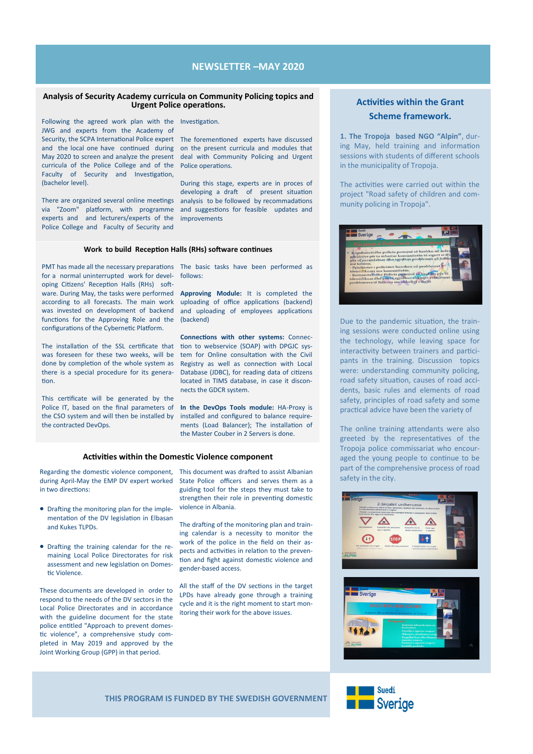# **NEWSLETTER –MAY 2020**

#### **Analysis of Security Academy curricula on Community Policing topics and Urgent Police operations.**

Following the agreed work plan with the Investigation.

JWG and experts from the Academy of Security, the SCPA International Police expert The forementioned experts have discussed and the local one have continued during on the present curricula and modules that May 2020 to screen and analyze the present curricula of the Police College and of the Faculty of Security and Investigation, (bachelor level).

There are organized several online meetings via "Zoom" platform, with programme experts and and lecturers/experts of the Police College and Faculty of Security and

deal with Community Policing and Urgent Police operations.

During this stage, experts are in proces of developing a draft of present situation analysis to be followed by recommadations and suggestions for feasible updates and improvements

### **Work to build Reception Halls (RHs) software continues**

for a normal uninterrupted work for developing Citizens' Reception Halls (RHs) software. During May, the tasks were performed **Approving Module:** It is completed the according to all forecasts. The main work was invested on development of backend functions for the Approving Role and the configurations of the Cybernetic Platform.

The installation of the SSL certificate that was foreseen for these two weeks, will be done by completion of the whole system as there is a special procedure for its generation.

This certificate will be generated by the Police IT, based on the final parameters of the CSO system and will then be installed by the contracted DevOps.

PMT has made all the necessary preparations The basic tasks have been performed as follows:

> uploading of office applications (backend) and uploading of employees applications (backend)

> **Connections with other systems:** Connection to webservice (SOAP) with DPGJC system for Online consultation with the Civil Registry as well as connection with Local Database (JDBC), for reading data of citizens located in TIMS database, in case it disconnects the GDCR system.

> **In the DevOps Tools module:** HA-Proxy is installed and configured to balance requirements (Load Balancer); The installation of the Master Couber in 2 Servers is done.

#### **Activities within the Domestic Violence component**

Regarding the domestic violence component, This document was drafted to assist Albanian during April-May the EMP DV expert worked in two directions:

- Drafting the monitoring plan for the implementation of the DV legislation in Elbasan and Kukes TLPDs.
- Drafting the training calendar for the remaining Local Police Directorates for risk assessment and new legislation on Domestic Violence.

These documents are developed in order to respond to the needs of the DV sectors in the Local Police Directorates and in accordance with the guideline document for the state police entitled "Approach to prevent domestic violence", a comprehensive study completed in May 2019 and approved by the Joint Working Group (GPP) in that period.

State Police officers and serves them as a guiding tool for the steps they must take to strengthen their role in preventing domestic violence in Albania.

The drafting of the monitoring plan and training calendar is a necessity to monitor the work of the police in the field on their aspects and activities in relation to the prevention and fight against domestic violence and gender-based access.

All the staff of the DV sections in the target LPDs have already gone through a training cycle and it is the right moment to start monitoring their work for the above issues.

# **Activities within the Grant Scheme framework.**

**1. The Tropoja based NGO "Alpin"**, during May, held training and information sessions with students of different schools in the municipality of Tropoja.

The activities were carried out within the project "Road safety of children and community policing in Tropoja".



Due to the pandemic situation, the training sessions were conducted online using the technology, while leaving space for interactivity between trainers and participants in the training. Discussion topics were: understanding community policing, road safety situation, causes of road accidents, basic rules and elements of road safety, principles of road safety and some practical advice have been the variety of

The online training attendants were also greeted by the representatives of the Tropoja police commissariat who encouraged the young people to continue to be part of the comprehensive process of road safety in the city.





**THIS PROGRAM IS FUNDED BY THE SWEDISH GOVERNMENT**